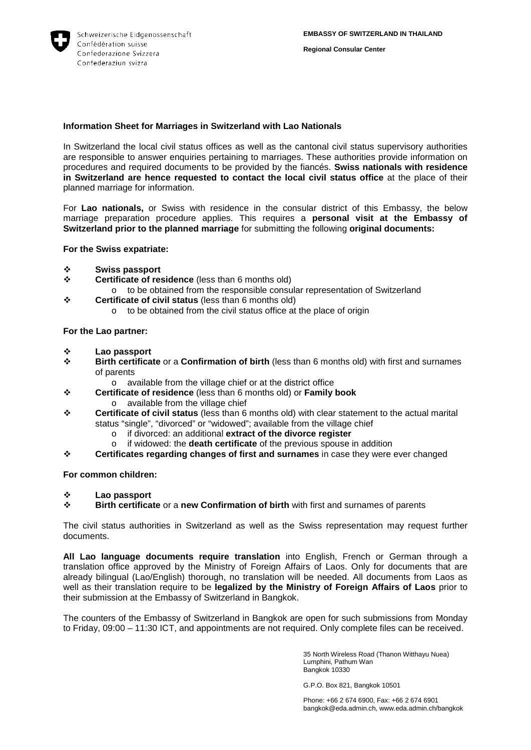

**Regional Consular Center**

## **Information Sheet for Marriages in Switzerland with Lao Nationals**

In Switzerland the local civil status offices as well as the cantonal civil status supervisory authorities are responsible to answer enquiries pertaining to marriages. These authorities provide information on procedures and required documents to be provided by the fiancés. **Swiss nationals with residence in Switzerland are hence requested to contact the local civil status office** at the place of their planned marriage for information.

For **Lao nationals,** or Swiss with residence in the consular district of this Embassy, the below marriage preparation procedure applies. This requires a **personal visit at the Embassy of Switzerland prior to the planned marriage** for submitting the following **original documents:**

**For the Swiss expatriate:** 

- **Swiss passport**
- **Certificate of residence** (less than 6 months old)
	- o to be obtained from the responsible consular representation of Switzerland
- **Certificate of civil status** (less than 6 months old)
	- o to be obtained from the civil status office at the place of origin

## **For the Lao partner:**

- **<sup>❖</sup>** Lao passport<br><sup>**ベ** Rirth certification</sup>
- **Birth certificate** or a **Confirmation of birth** (less than 6 months old) with first and surnames of parents
	- o available from the village chief or at the district office
- **Certificate of residence** (less than 6 months old) or **Family book** o available from the village chief
- **Certificate of civil status** (less than 6 months old) with clear statement to the actual marital status "single", "divorced" or "widowed"; available from the village chief
	- o if divorced: an additional **extract of the divorce register**
	- if widowed: the **death certificate** of the previous spouse in addition
- **Certificates regarding changes of first and surnames** in case they were ever changed

## **For common children:**

## **<sup>❖</sup> Lao passport**<br>❖ Birth certifica

**Birth certificate** or a **new Confirmation of birth** with first and surnames of parents

The civil status authorities in Switzerland as well as the Swiss representation may request further documents.

**All Lao language documents require translation** into English, French or German through a translation office approved by the Ministry of Foreign Affairs of Laos. Only for documents that are already bilingual (Lao/English) thorough, no translation will be needed. All documents from Laos as well as their translation require to be **legalized by the Ministry of Foreign Affairs of Laos** prior to their submission at the Embassy of Switzerland in Bangkok.

The counters of the Embassy of Switzerland in Bangkok are open for such submissions from Monday to Friday, 09:00 – 11:30 ICT, and appointments are not required. Only complete files can be received.

> 35 North Wireless Road (Thanon Witthayu Nuea) Lumphini, Pathum Wan Bangkok 10330

G.P.O. Box 821, Bangkok 10501

Phone: +66 2 674 6900, Fax: +66 2 674 6901 bangkok@eda.admin.ch, www.eda.admin.ch/bangkok